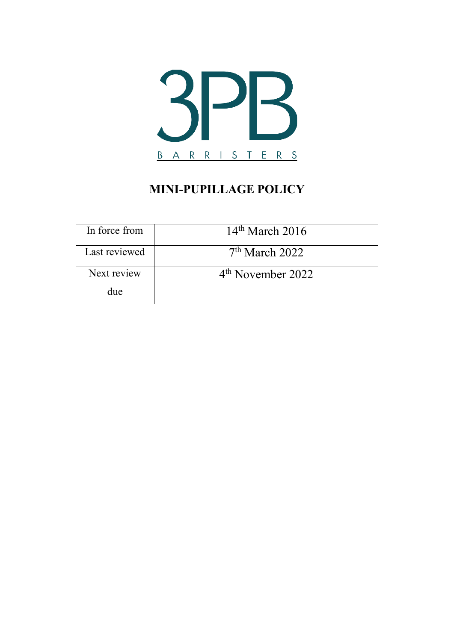

# **MINI-PUPILLAGE POLICY**

| In force from | $14th$ March 2016             |
|---------------|-------------------------------|
| Last reviewed | $7th$ March 2022              |
| Next review   | 4 <sup>th</sup> November 2022 |
| due           |                               |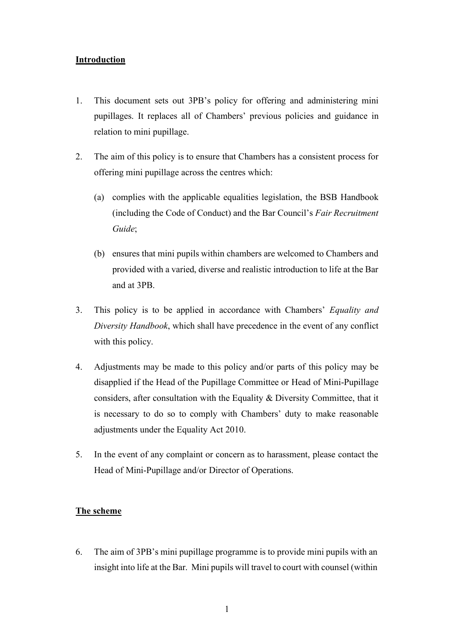# **Introduction**

- 1. This document sets out 3PB's policy for offering and administering mini pupillages. It replaces all of Chambers' previous policies and guidance in relation to mini pupillage.
- 2. The aim of this policy is to ensure that Chambers has a consistent process for offering mini pupillage across the centres which:
	- (a) complies with the applicable equalities legislation, the BSB Handbook (including the Code of Conduct) and the Bar Council's *Fair Recruitment Guide*;
	- (b) ensures that mini pupils within chambers are welcomed to Chambers and provided with a varied, diverse and realistic introduction to life at the Bar and at 3PB.
- 3. This policy is to be applied in accordance with Chambers' *Equality and Diversity Handbook*, which shall have precedence in the event of any conflict with this policy.
- 4. Adjustments may be made to this policy and/or parts of this policy may be disapplied if the Head of the Pupillage Committee or Head of Mini-Pupillage considers, after consultation with the Equality & Diversity Committee, that it is necessary to do so to comply with Chambers' duty to make reasonable adjustments under the Equality Act 2010.
- 5. In the event of any complaint or concern as to harassment, please contact the Head of Mini-Pupillage and/or Director of Operations.

# **The scheme**

6. The aim of 3PB's mini pupillage programme is to provide mini pupils with an insight into life at the Bar. Mini pupils will travel to court with counsel (within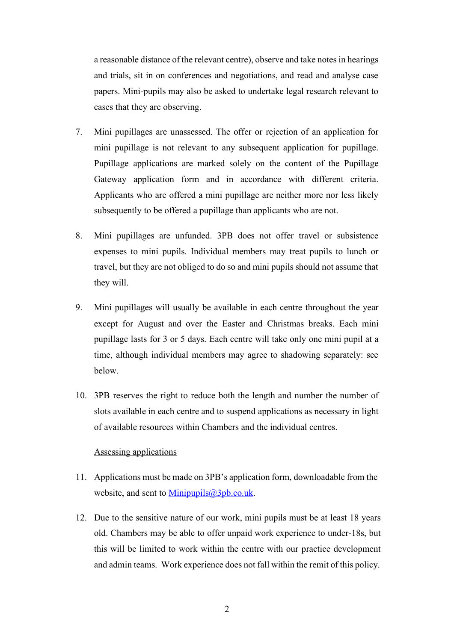a reasonable distance of the relevant centre), observe and take notesin hearings and trials, sit in on conferences and negotiations, and read and analyse case papers. Mini-pupils may also be asked to undertake legal research relevant to cases that they are observing.

- 7. Mini pupillages are unassessed. The offer or rejection of an application for mini pupillage is not relevant to any subsequent application for pupillage. Pupillage applications are marked solely on the content of the Pupillage Gateway application form and in accordance with different criteria. Applicants who are offered a mini pupillage are neither more nor less likely subsequently to be offered a pupillage than applicants who are not.
- 8. Mini pupillages are unfunded. 3PB does not offer travel or subsistence expenses to mini pupils. Individual members may treat pupils to lunch or travel, but they are not obliged to do so and mini pupils should not assume that they will.
- 9. Mini pupillages will usually be available in each centre throughout the year except for August and over the Easter and Christmas breaks. Each mini pupillage lasts for 3 or 5 days. Each centre will take only one mini pupil at a time, although individual members may agree to shadowing separately: see below.
- 10. 3PB reserves the right to reduce both the length and number the number of slots available in each centre and to suspend applications as necessary in light of available resources within Chambers and the individual centres.

## Assessing applications

- 11. Applications must be made on 3PB's application form, downloadable from the website, and sent to [Minipupils@3pb.co.uk.](mailto:Minipupils@3pb.co.uk)
- 12. Due to the sensitive nature of our work, mini pupils must be at least 18 years old. Chambers may be able to offer unpaid work experience to under-18s, but this will be limited to work within the centre with our practice development and admin teams. Work experience does not fall within the remit of this policy.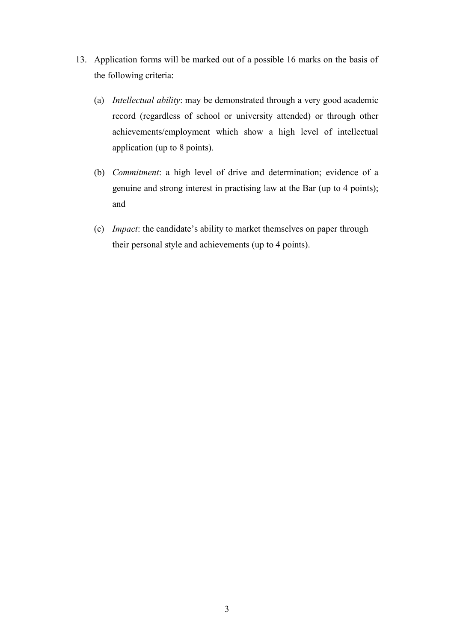- 13. Application forms will be marked out of a possible 16 marks on the basis of the following criteria:
	- (a) *Intellectual ability*: may be demonstrated through a very good academic record (regardless of school or university attended) or through other achievements/employment which show a high level of intellectual application (up to 8 points).
	- (b) *Commitment*: a high level of drive and determination; evidence of a genuine and strong interest in practising law at the Bar (up to 4 points); and
	- (c) *Impact*: the candidate's ability to market themselves on paper through their personal style and achievements (up to 4 points).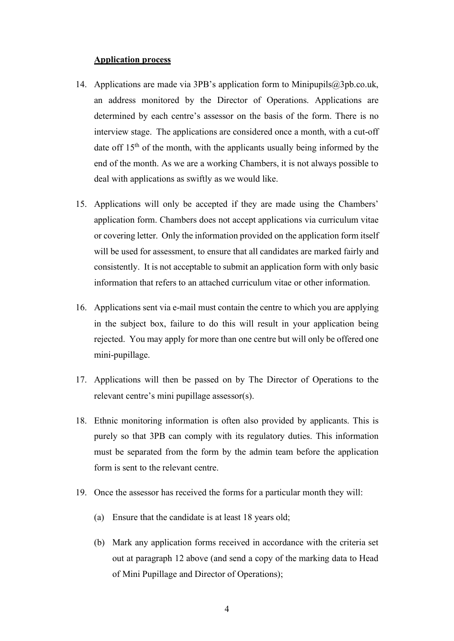#### **Application process**

- 14. Applications are made via 3PB's application form to [Minipupils@3pb.co.uk,](mailto:Minipupils@3pb.co.uk) an address monitored by the Director of Operations. Applications are determined by each centre's assessor on the basis of the form. There is no interview stage. The applications are considered once a month, with a cut-off date off  $15<sup>th</sup>$  of the month, with the applicants usually being informed by the end of the month. As we are a working Chambers, it is not always possible to deal with applications as swiftly as we would like.
- 15. Applications will only be accepted if they are made using the Chambers' application form. Chambers does not accept applications via curriculum vitae or covering letter. Only the information provided on the application form itself will be used for assessment, to ensure that all candidates are marked fairly and consistently. It is not acceptable to submit an application form with only basic information that refers to an attached curriculum vitae or other information.
- 16. Applications sent via e-mail must contain the centre to which you are applying in the subject box, failure to do this will result in your application being rejected. You may apply for more than one centre but will only be offered one mini-pupillage.
- 17. Applications will then be passed on by The Director of Operations to the relevant centre's mini pupillage assessor(s).
- 18. Ethnic monitoring information is often also provided by applicants. This is purely so that 3PB can comply with its regulatory duties. This information must be separated from the form by the admin team before the application form is sent to the relevant centre.
- 19. Once the assessor has received the forms for a particular month they will:
	- (a) Ensure that the candidate is at least 18 years old;
	- (b) Mark any application forms received in accordance with the criteria set out at paragraph 12 above (and send a copy of the marking data to Head of Mini Pupillage and Director of Operations);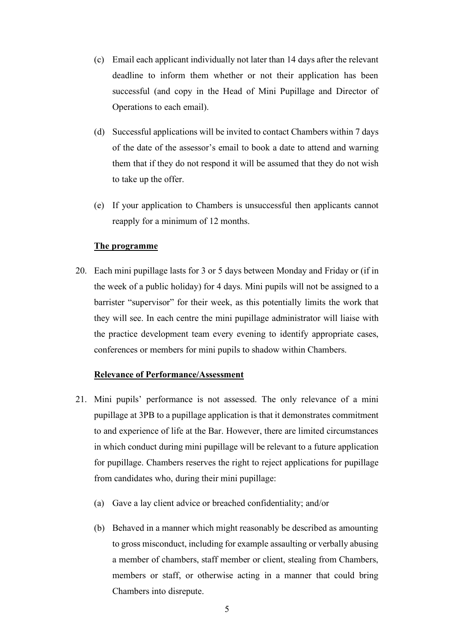- (c) Email each applicant individually not later than 14 days after the relevant deadline to inform them whether or not their application has been successful (and copy in the Head of Mini Pupillage and Director of Operations to each email).
- (d) Successful applications will be invited to contact Chambers within 7 days of the date of the assessor's email to book a date to attend and warning them that if they do not respond it will be assumed that they do not wish to take up the offer.
- (e) If your application to Chambers is unsuccessful then applicants cannot reapply for a minimum of 12 months.

#### **The programme**

20. Each mini pupillage lasts for 3 or 5 days between Monday and Friday or (if in the week of a public holiday) for 4 days. Mini pupils will not be assigned to a barrister "supervisor" for their week, as this potentially limits the work that they will see. In each centre the mini pupillage administrator will liaise with the practice development team every evening to identify appropriate cases, conferences or members for mini pupils to shadow within Chambers.

#### **Relevance of Performance/Assessment**

- 21. Mini pupils' performance is not assessed. The only relevance of a mini pupillage at 3PB to a pupillage application is that it demonstrates commitment to and experience of life at the Bar. However, there are limited circumstances in which conduct during mini pupillage will be relevant to a future application for pupillage. Chambers reserves the right to reject applications for pupillage from candidates who, during their mini pupillage:
	- (a) Gave a lay client advice or breached confidentiality; and/or
	- (b) Behaved in a manner which might reasonably be described as amounting to gross misconduct, including for example assaulting or verbally abusing a member of chambers, staff member or client, stealing from Chambers, members or staff, or otherwise acting in a manner that could bring Chambers into disrepute.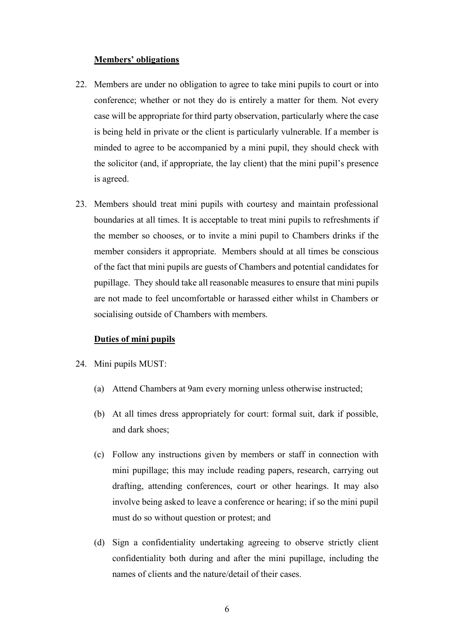#### **Members' obligations**

- 22. Members are under no obligation to agree to take mini pupils to court or into conference; whether or not they do is entirely a matter for them. Not every case will be appropriate for third party observation, particularly where the case is being held in private or the client is particularly vulnerable. If a member is minded to agree to be accompanied by a mini pupil, they should check with the solicitor (and, if appropriate, the lay client) that the mini pupil's presence is agreed.
- 23. Members should treat mini pupils with courtesy and maintain professional boundaries at all times. It is acceptable to treat mini pupils to refreshments if the member so chooses, or to invite a mini pupil to Chambers drinks if the member considers it appropriate. Members should at all times be conscious of the fact that mini pupils are guests of Chambers and potential candidates for pupillage. They should take all reasonable measures to ensure that mini pupils are not made to feel uncomfortable or harassed either whilst in Chambers or socialising outside of Chambers with members.

#### **Duties of mini pupils**

- 24. Mini pupils MUST:
	- (a) Attend Chambers at 9am every morning unless otherwise instructed;
	- (b) At all times dress appropriately for court: formal suit, dark if possible, and dark shoes;
	- (c) Follow any instructions given by members or staff in connection with mini pupillage; this may include reading papers, research, carrying out drafting, attending conferences, court or other hearings. It may also involve being asked to leave a conference or hearing; if so the mini pupil must do so without question or protest; and
	- (d) Sign a confidentiality undertaking agreeing to observe strictly client confidentiality both during and after the mini pupillage, including the names of clients and the nature/detail of their cases.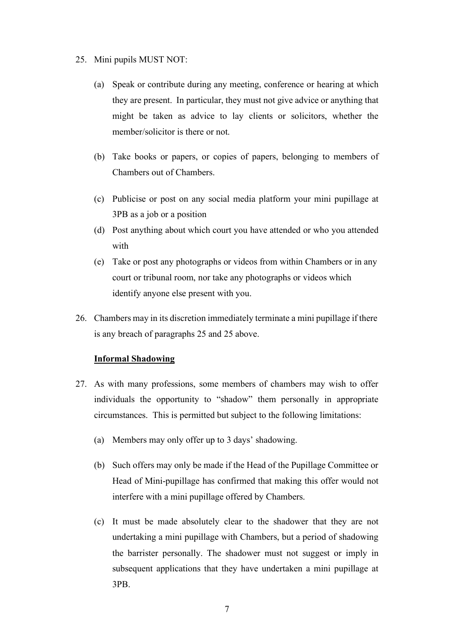#### 25. Mini pupils MUST NOT:

- (a) Speak or contribute during any meeting, conference or hearing at which they are present. In particular, they must not give advice or anything that might be taken as advice to lay clients or solicitors, whether the member/solicitor is there or not.
- (b) Take books or papers, or copies of papers, belonging to members of Chambers out of Chambers.
- (c) Publicise or post on any social media platform your mini pupillage at 3PB as a job or a position
- (d) Post anything about which court you have attended or who you attended with
- (e) Take or post any photographs or videos from within Chambers or in any court or tribunal room, nor take any photographs or videos which identify anyone else present with you.
- 26. Chambers may in its discretion immediately terminate a mini pupillage if there is any breach of paragraphs 25 and 25 above.

## **Informal Shadowing**

- 27. As with many professions, some members of chambers may wish to offer individuals the opportunity to "shadow" them personally in appropriate circumstances. This is permitted but subject to the following limitations:
	- (a) Members may only offer up to 3 days' shadowing.
	- (b) Such offers may only be made if the Head of the Pupillage Committee or Head of Mini-pupillage has confirmed that making this offer would not interfere with a mini pupillage offered by Chambers.
	- (c) It must be made absolutely clear to the shadower that they are not undertaking a mini pupillage with Chambers, but a period of shadowing the barrister personally. The shadower must not suggest or imply in subsequent applications that they have undertaken a mini pupillage at 3PB.